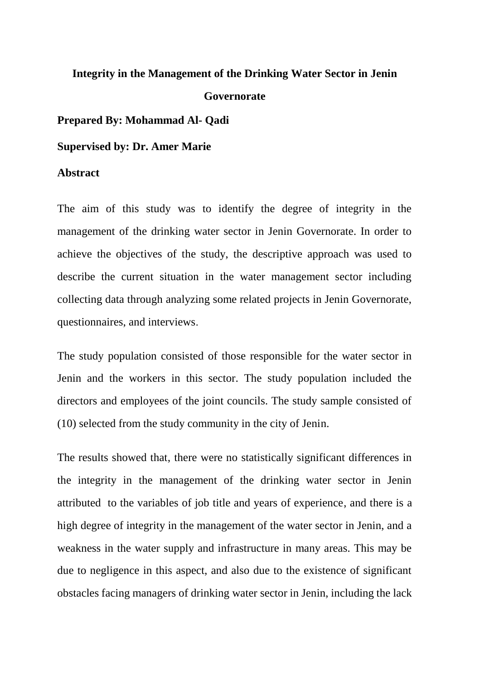## **Integrity in the Management of the Drinking Water Sector in Jenin Governorate**

**Prepared By: Mohammad Al- Qadi** 

**Supervised by: Dr. Amer Marie** 

## **Abstract**

The aim of this study was to identify the degree of integrity in the management of the drinking water sector in Jenin Governorate. In order to achieve the objectives of the study, the descriptive approach was used to describe the current situation in the water management sector including collecting data through analyzing some related projects in Jenin Governorate, questionnaires, and interviews.

The study population consisted of those responsible for the water sector in Jenin and the workers in this sector. The study population included the directors and employees of the joint councils. The study sample consisted of (10) selected from the study community in the city of Jenin.

The results showed that, there were no statistically significant differences in the integrity in the management of the drinking water sector in Jenin attributed to the variables of job title and years of experience, and there is a high degree of integrity in the management of the water sector in Jenin, and a weakness in the water supply and infrastructure in many areas. This may be due to negligence in this aspect, and also due to the existence of significant obstacles facing managers of drinking water sector in Jenin, including the lack